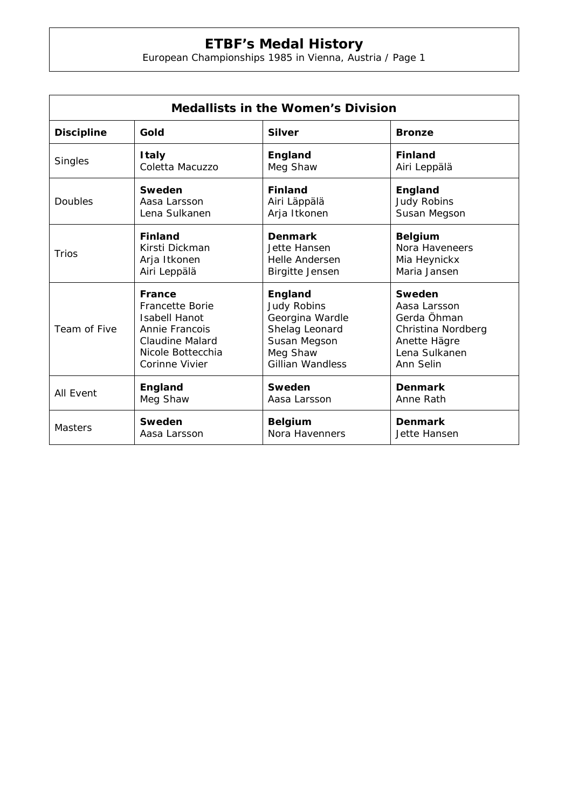## **ETBF's Medal History**

European Championships 1985 in Vienna, Austria / Page 1

| <b>Medallists in the Women's Division</b> |                        |                         |                    |  |  |
|-------------------------------------------|------------------------|-------------------------|--------------------|--|--|
| <b>Discipline</b>                         | Gold                   | <b>Silver</b>           | <b>Bronze</b>      |  |  |
| Singles                                   | <b>Italy</b>           | England                 | <b>Finland</b>     |  |  |
|                                           | Coletta Macuzzo        | Meg Shaw                | Airi Leppälä       |  |  |
| Doubles                                   | Sweden                 | <b>Finland</b>          | England            |  |  |
|                                           | Aasa Larsson           | Airi Läppälä            | <b>Judy Robins</b> |  |  |
|                                           | Lena Sulkanen          | Arja Itkonen            | Susan Megson       |  |  |
| Trios                                     | <b>Finland</b>         | <b>Denmark</b>          | <b>Belgium</b>     |  |  |
|                                           | Kirsti Dickman         | Jette Hansen            | Nora Haveneers     |  |  |
|                                           | Arja Itkonen           | Helle Andersen          | Mia Heynickx       |  |  |
|                                           | Airi Leppälä           | <b>Birgitte Jensen</b>  | Maria Jansen       |  |  |
| Team of Five                              | France                 | England                 | Sweden             |  |  |
|                                           | <b>Francette Borie</b> | <b>Judy Robins</b>      | Aasa Larsson       |  |  |
|                                           | <b>Isabell Hanot</b>   | Georgina Wardle         | Gerda Öhman        |  |  |
|                                           | Annie Francois         | Shelag Leonard          | Christina Nordberg |  |  |
|                                           | <b>Claudine Malard</b> | Susan Megson            | Anette Hägre       |  |  |
|                                           | Nicole Bottecchia      | Meg Shaw                | Lena Sulkanen      |  |  |
|                                           | Corinne Vivier         | <b>Gillian Wandless</b> | Ann Selin          |  |  |
| <b>All Event</b>                          | England                | Sweden                  | <b>Denmark</b>     |  |  |
|                                           | Meg Shaw               | Aasa Larsson            | Anne Rath          |  |  |
| <b>Masters</b>                            | Sweden                 | <b>Belgium</b>          | <b>Denmark</b>     |  |  |
|                                           | Aasa Larsson           | Nora Havenners          | Jette Hansen       |  |  |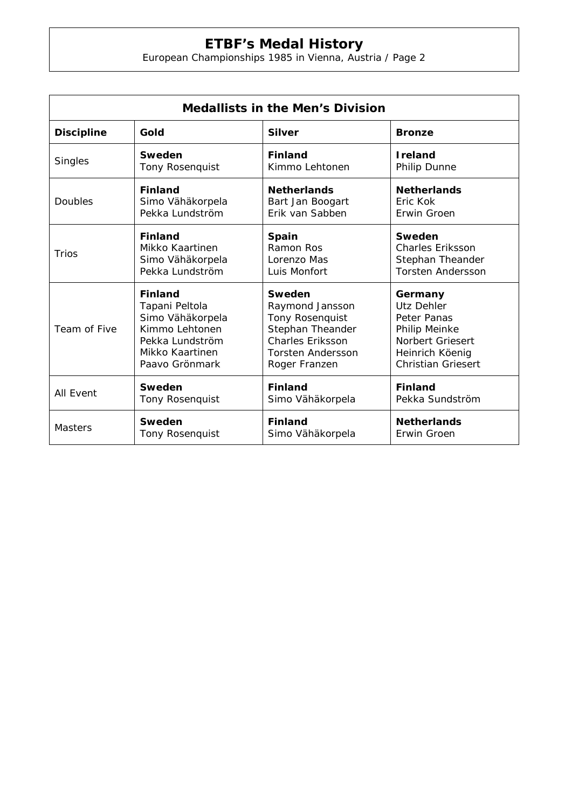## **ETBF's Medal History**

European Championships 1985 in Vienna, Austria / Page 2

| <b>Medallists in the Men's Division</b> |                  |                          |                           |  |  |
|-----------------------------------------|------------------|--------------------------|---------------------------|--|--|
| <b>Discipline</b>                       | Gold             | <b>Silver</b>            | <b>Bronze</b>             |  |  |
| Singles                                 | Sweden           | <b>Finland</b>           | <b>Ireland</b>            |  |  |
|                                         | Tony Rosenquist  | Kimmo Lehtonen           | Philip Dunne              |  |  |
| Doubles                                 | <b>Finland</b>   | <b>Netherlands</b>       | <b>Netherlands</b>        |  |  |
|                                         | Simo Vähäkorpela | Bart Jan Boogart         | Fric Kok                  |  |  |
|                                         | Pekka Lundström  | Erik van Sabben          | Erwin Groen               |  |  |
| Trios                                   | <b>Finland</b>   | Spain                    | Sweden                    |  |  |
|                                         | Mikko Kaartinen  | Ramon Ros                | <b>Charles Eriksson</b>   |  |  |
|                                         | Simo Vähäkorpela | Lorenzo Mas              | Stephan Theander          |  |  |
|                                         | Pekka Lundström  | Luis Monfort             | <b>Torsten Andersson</b>  |  |  |
| Team of Five                            | <b>Finland</b>   | Sweden                   | Germany                   |  |  |
|                                         | Tapani Peltola   | Raymond Jansson          | Utz Dehler                |  |  |
|                                         | Simo Vähäkorpela | Tony Rosenquist          | Peter Panas               |  |  |
|                                         | Kimmo Lehtonen   | Stephan Theander         | Philip Meinke             |  |  |
|                                         | Pekka Lundström  | <b>Charles Eriksson</b>  | <b>Norbert Griesert</b>   |  |  |
|                                         | Mikko Kaartinen  | <b>Torsten Andersson</b> | Heinrich Köenig           |  |  |
|                                         | Paavo Grönmark   | Roger Franzen            | <b>Christian Griesert</b> |  |  |
| <b>All Event</b>                        | Sweden           | <b>Finland</b>           | <b>Finland</b>            |  |  |
|                                         | Tony Rosenquist  | Simo Vähäkorpela         | Pekka Sundström           |  |  |
| <b>Masters</b>                          | Sweden           | <b>Finland</b>           | <b>Netherlands</b>        |  |  |
|                                         | Tony Rosenquist  | Simo Vähäkorpela         | Erwin Groen               |  |  |